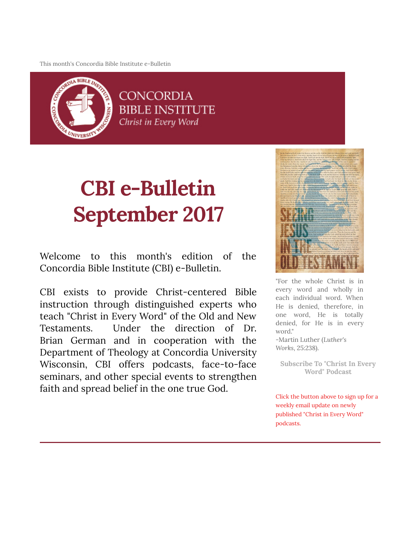This month's Concordia Bible Institute e-Bulletin



**CONCORDIA BIBLE INSTITUTE** Christ in Every Word

# CBI e-Bulletin September 2017

Welcome to this month's edition of the Concordia Bible Institute (CBI) e-Bulletin.

CBI exists to provide Christ-centered Bible instruction through distinguished experts who teach "Christ in Every Word" of the Old and New Testaments. Under the direction of Dr. Brian German and in cooperation with the Department of Theology at Concordia University Wisconsin, CBI offers podcasts, face-to-face seminars, and other special events to strengthen faith and spread belief in the one true God.



"For the whole Christ is in every word and wholly in each individual word. When He is denied, therefore, in one word, He is totally denied, for He is in every word." -Martin Luther (Luther's Works, 25:238).

[Subscribe To "Christ In Every](http://subscribebyemail.com/www.concordiabible.org/feed/podcast/) Word" Podcast

Click the button above to sign up for a weekly email update on newly published "Christ in Every Word" podcasts.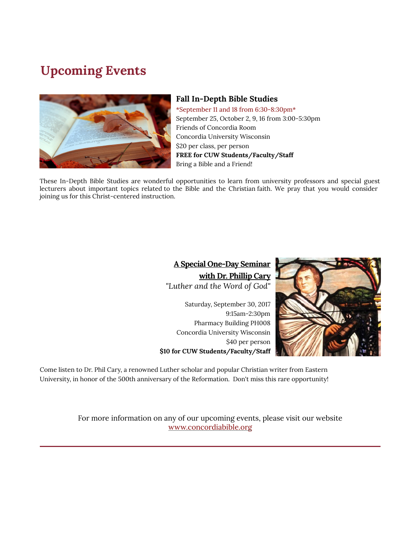# Upcoming Events



#### **Fall In-Depth Bible Studies**

\*September 11 and 18 from 6:30-8:30pm\* September 25, October 2, 9, 16 from 3:00-5:30pm Friends of Concordia Room Concordia University Wisconsin \$20 per class, per person FREE for CUW Students/Faculty/Staff Bring a Bible and a Friend!

These In-Depth Bible Studies are wonderful opportunities to learn from university professors and special guest lecturers about important topics related to the Bible and the Christian faith. We pray that you would consider joining us for this Christ-centered instruction.

#### A Special One-Day Seminar with Dr. Phillip Cary "Luther and the Word of God"

Saturday, September 30, 2017 9:15am-2:30pm Pharmacy Building PH008 Concordia University Wisconsin \$40 per person \$10 for CUW Students/Faculty/Staff



Come listen to Dr. Phil Cary, a renowned Luther scholar and popular Christian writer from Eastern University, in honor of the 500th anniversary of the Reformation. Don't miss this rare opportunity!

> For more information on any of our upcoming events, please visit our website [www.concordiabible.org](http://www.concordiabible.org/events/)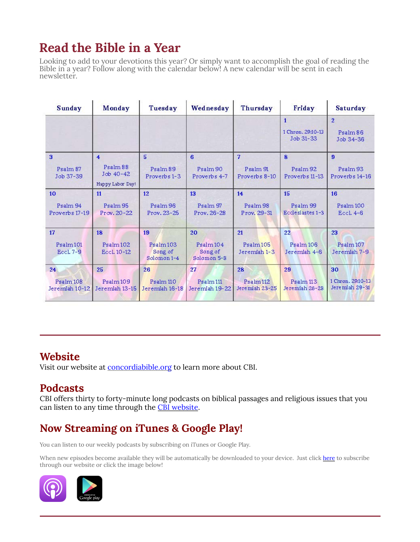# Read the Bible in a Year

Looking to add to your devotions this year? Or simply want to accomplish the goal of reading the Bible in a year? Follow along with the calendar below! A new calendar will be sent in each newsletter.

| <b>Sunday</b>                     | Monday                                                               | Tuesday                            | Wednesday                              | Thursday                               | Friday                                         | Saturday                                |
|-----------------------------------|----------------------------------------------------------------------|------------------------------------|----------------------------------------|----------------------------------------|------------------------------------------------|-----------------------------------------|
|                                   |                                                                      |                                    |                                        |                                        | $\mathbf{1}$<br>1 Chron, 29:10-13<br>Job 31-33 | $\overline{2}$<br>Psalm 86<br>Job 34-36 |
| 3<br>Psalm 87<br>Job 37-39        | $\overline{\mathbf{4}}$<br>Psalm 88<br>Job 40-42<br>Happy Labor Day! | 5<br>Psalm 89<br>Proverbs 1-3      | 6<br>Psalm 90<br>Proverbs 4-7          | 7<br>Psalm 91<br>Proverbs 8-10         | $\mathbf{8}$<br>Psalm 92<br>Proverbs 11-13     | 9<br>Psalm 93<br>Proverbs 14-16         |
| 10                                | 11                                                                   | 12                                 | 13                                     | 14                                     | 15                                             | 16                                      |
| Psalm 94<br>Proverbs 17-19        | Psalm 95<br>Prov. 20-22                                              | Psalm 96<br>Prov. 23-25            | Psalm 97<br>Prov. 26-28                | Psalm 98<br>Prov. 29-31                | Psalm 99<br>Ecclesiastes 1-3                   | Psalm 100<br><b>Eccl. 4-6</b>           |
| 17                                | 18                                                                   | 19                                 | 20                                     | 21                                     | 22                                             | 23                                      |
| Psalm <sub>101</sub><br>Eccl. 7-9 | Psalm102<br>Eccl. 10-12                                              | Psalm103<br>Song of<br>Solomon 1-4 | Psalm104<br>Song of<br>Solomon 5-8     | Psalm105<br>Jeremiah 1-3               | Psalm 106<br>Jeremiah 4-6                      | Psalm 107<br>Jeremiah 7-9               |
| 24                                | 25                                                                   | 26                                 | 27                                     | 28                                     | 29                                             | 30                                      |
| Psalm 108<br>Jeremiah 10-12       | Psalm <sub>109</sub><br>Jeremiah 13-15                               | Psalm 110<br>Jeremiah 16-18        | Psalm <sub>111</sub><br>Jeremiah 19-22 | Psalm <sub>112</sub><br>Jeremiah 23-25 | Psalm 113<br>Jeremiah 26-28                    | 1 Chron, 29:10-13<br>Jeremiah 29-31     |

## Website

Visit our website at **[concordiabible.org](http://www.concordiabible.org/)** to learn more about CBI.

## Podcasts

CBI offers thirty to forty-minute long podcasts on biblical passages and religious issues that you can listen to any time through the [CBI website.](http://www.concordiabible.org/category/podcasts/)

# Now Streaming on iTunes & Google Play!

You can listen to our weekly podcasts by subscribing on iTunes or Google Play.

When new episodes become available they will be automatically be downloaded to your device. Just click [here](http://www.concordiabible.org/category/podcasts/) to subscribe through our website or click the image below!

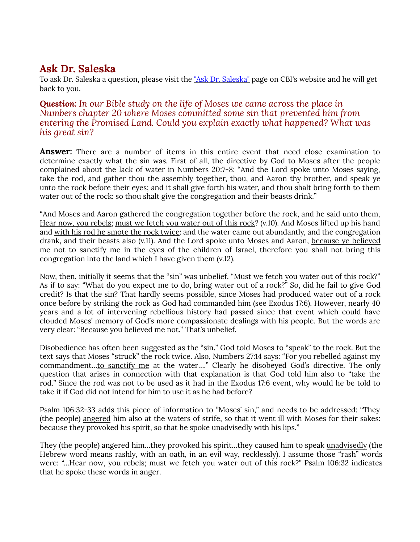### Ask Dr. Saleska

To ask Dr. Saleska a question, please visit the "Ask Dr. Saleska" page on CBI's website and he will get back to you.

**Question:** In our Bible study on the life of Moses we came across the place in Numbers chapter 20 where Moses committed some sin that prevented him from entering the Promised Land. Could you explain exactly what happened? What was his great sin?

**Answer:** There are a number of items in this entire event that need close examination to determine exactly what the sin was. First of all, the directive by God to Moses after the people complained about the lack of water in Numbers 20:7-8: "And the Lord spoke unto Moses saying, take the rod, and gather thou the assembly together, thou, and Aaron thy brother, and speak ye unto the rock before their eyes; and it shall give forth his water, and thou shalt bring forth to them water out of the rock: so thou shalt give the congregation and their beasts drink."

"And Moses and Aaron gathered the congregation together before the rock, and he said unto them, Hear now, you rebels; must we fetch you water out of this rock? (v.10). And Moses lifted up his hand and with his rod he smote the rock twice: and the water came out abundantly, and the congregation drank, and their beasts also (v.11). And the Lord spoke unto Moses and Aaron, because ye believed me not to sanctify me in the eyes of the children of Israel, therefore you shall not bring this congregation into the land which I have given them (v.12).

Now, then, initially it seems that the "sin" was unbelief. "Must we fetch you water out of this rock?" As if to say: "What do you expect me to do, bring water out of a rock?" So, did he fail to give God credit? Is that the sin? That hardly seems possible, since Moses had produced water out of a rock once before by striking the rock as God had commanded him (see Exodus 17:6). However, nearly 40 years and a lot of intervening rebellious history had passed since that event which could have clouded Moses' memory of God's more compassionate dealings with his people. But the words are very clear: "Because you believed me not." That's unbelief.

Disobedience has often been suggested as the "sin." God told Moses to "speak" to the rock. But the text says that Moses "struck" the rock twice. Also, Numbers 27:14 says: "For you rebelled against my commandment…to sanctify me at the water…." Clearly he disobeyed God's directive. The only question that arises in connection with that explanation is that God told him also to "take the rod." Since the rod was not to be used as it had in the Exodus 17:6 event, why would he be told to take it if God did not intend for him to use it as he had before?

Psalm 106:32-33 adds this piece of information to "Moses' sin," and needs to be addressed: "They (the people) angered him also at the waters of strife, so that it went ill with Moses for their sakes: because they provoked his spirit, so that he spoke unadvisedly with his lips."

They (the people) angered him…they provoked his spirit…they caused him to speak unadvisedly (the Hebrew word means rashly, with an oath, in an evil way, recklessly). I assume those "rash" words were: "…Hear now, you rebels; must we fetch you water out of this rock?" Psalm 106:32 indicates that he spoke these words in anger.